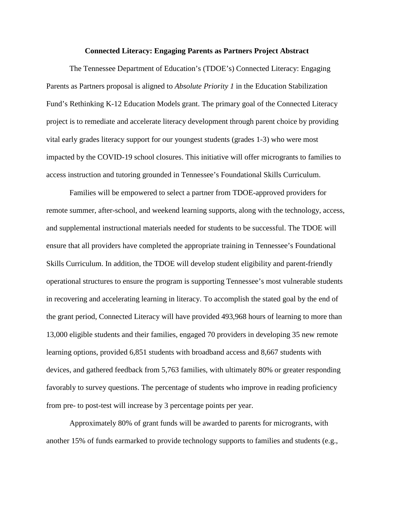## **Connected Literacy: Engaging Parents as Partners Project Abstract**

The Tennessee Department of Education's (TDOE's) Connected Literacy: Engaging Parents as Partners proposal is aligned to *Absolute Priority 1* in the Education Stabilization Fund's Rethinking K-12 Education Models grant. The primary goal of the Connected Literacy project is to remediate and accelerate literacy development through parent choice by providing vital early grades literacy support for our youngest students (grades 1-3) who were most impacted by the COVID-19 school closures. This initiative will offer microgrants to families to access instruction and tutoring grounded in Tennessee's Foundational Skills Curriculum.

Families will be empowered to select a partner from TDOE-approved providers for remote summer, after-school, and weekend learning supports, along with the technology, access, and supplemental instructional materials needed for students to be successful. The TDOE will ensure that all providers have completed the appropriate training in Tennessee's Foundational Skills Curriculum. In addition, the TDOE will develop student eligibility and parent-friendly operational structures to ensure the program is supporting Tennessee's most vulnerable students in recovering and accelerating learning in literacy. To accomplish the stated goal by the end of the grant period, Connected Literacy will have provided 493,968 hours of learning to more than 13,000 eligible students and their families, engaged 70 providers in developing 35 new remote learning options, provided 6,851 students with broadband access and 8,667 students with devices, and gathered feedback from 5,763 families, with ultimately 80% or greater responding favorably to survey questions. The percentage of students who improve in reading proficiency from pre- to post-test will increase by 3 percentage points per year.

Approximately 80% of grant funds will be awarded to parents for microgrants, with another 15% of funds earmarked to provide technology supports to families and students (e.g.,